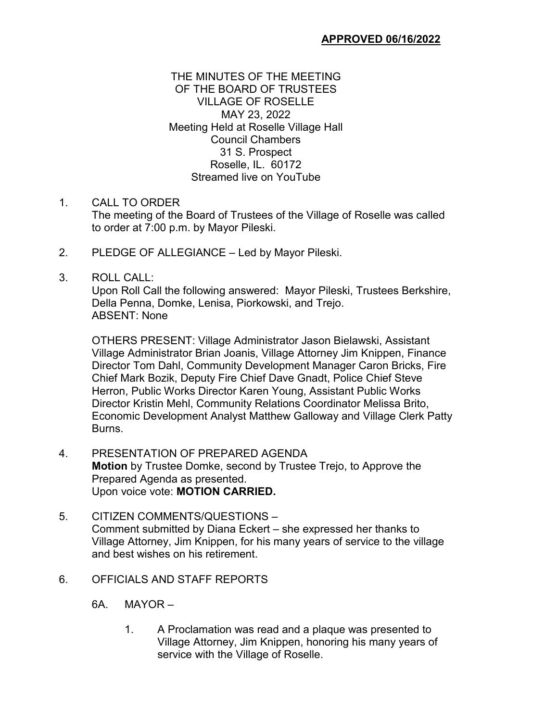## THE MINUTES OF THE MEETING OF THE BOARD OF TRUSTEES VILLAGE OF ROSELLE MAY 23, 2022 Meeting Held at Roselle Village Hall Council Chambers 31 S. Prospect Roselle, IL. 60172 Streamed live on YouTube

# 1. CALL TO ORDER

The meeting of the Board of Trustees of the Village of Roselle was called to order at 7:00 p.m. by Mayor Pileski.

2. PLEDGE OF ALLEGIANCE – Led by Mayor Pileski.

# 3. ROLL CALL:

Upon Roll Call the following answered: Mayor Pileski, Trustees Berkshire, Della Penna, Domke, Lenisa, Piorkowski, and Trejo. ABSENT: None

OTHERS PRESENT: Village Administrator Jason Bielawski, Assistant Village Administrator Brian Joanis, Village Attorney Jim Knippen, Finance Director Tom Dahl, Community Development Manager Caron Bricks, Fire Chief Mark Bozik, Deputy Fire Chief Dave Gnadt, Police Chief Steve Herron, Public Works Director Karen Young, Assistant Public Works Director Kristin Mehl, Community Relations Coordinator Melissa Brito, Economic Development Analyst Matthew Galloway and Village Clerk Patty **Burns** 

- 4. PRESENTATION OF PREPARED AGENDA **Motion** by Trustee Domke, second by Trustee Trejo, to Approve the Prepared Agenda as presented. Upon voice vote: **MOTION CARRIED.**
- 5. CITIZEN COMMENTS/QUESTIONS Comment submitted by Diana Eckert – she expressed her thanks to Village Attorney, Jim Knippen, for his many years of service to the village and best wishes on his retirement.
- 6. OFFICIALS AND STAFF REPORTS
	- 6A. MAYOR
		- 1. A Proclamation was read and a plaque was presented to Village Attorney, Jim Knippen, honoring his many years of service with the Village of Roselle.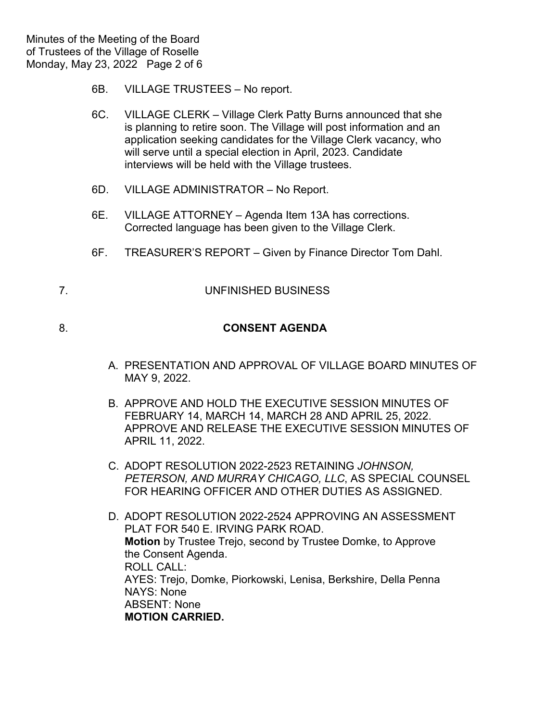- 6B. VILLAGE TRUSTEES No report.
- 6C. VILLAGE CLERK Village Clerk Patty Burns announced that she is planning to retire soon. The Village will post information and an application seeking candidates for the Village Clerk vacancy, who will serve until a special election in April, 2023. Candidate interviews will be held with the Village trustees.
- 6D. VILLAGE ADMINISTRATOR No Report.
- 6E. VILLAGE ATTORNEY Agenda Item 13A has corrections. Corrected language has been given to the Village Clerk.
- 6F. TREASURER'S REPORT Given by Finance Director Tom Dahl.

# 7. UNFINISHED BUSINESS

# 8. **CONSENT AGENDA**

- A. PRESENTATION AND APPROVAL OF VILLAGE BOARD MINUTES OF MAY 9, 2022.
- B. APPROVE AND HOLD THE EXECUTIVE SESSION MINUTES OF FEBRUARY 14, MARCH 14, MARCH 28 AND APRIL 25, 2022. APPROVE AND RELEASE THE EXECUTIVE SESSION MINUTES OF APRIL 11, 2022.
- C. ADOPT RESOLUTION 2022-2523 RETAINING *JOHNSON, PETERSON, AND MURRAY CHICAGO, LLC*, AS SPECIAL COUNSEL FOR HEARING OFFICER AND OTHER DUTIES AS ASSIGNED.

D. ADOPT RESOLUTION 2022-2524 APPROVING AN ASSESSMENT PLAT FOR 540 E. IRVING PARK ROAD. **Motion** by Trustee Trejo, second by Trustee Domke, to Approve the Consent Agenda. ROLL CALL: AYES: Trejo, Domke, Piorkowski, Lenisa, Berkshire, Della Penna NAYS: None ABSENT: None **MOTION CARRIED.**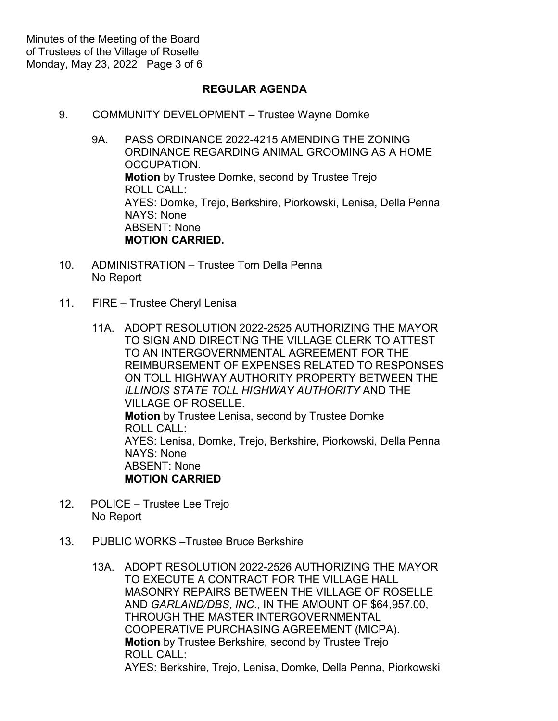# **REGULAR AGENDA**

- 9. COMMUNITY DEVELOPMENT Trustee Wayne Domke
	- 9A. PASS ORDINANCE 2022-4215 AMENDING THE ZONING ORDINANCE REGARDING ANIMAL GROOMING AS A HOME OCCUPATION. **Motion** by Trustee Domke, second by Trustee Trejo ROLL CALL: AYES: Domke, Trejo, Berkshire, Piorkowski, Lenisa, Della Penna NAYS: None ABSENT: None **MOTION CARRIED.**
- 10. ADMINISTRATION Trustee Tom Della Penna No Report
- 11. FIRE Trustee Cheryl Lenisa
	- 11A. ADOPT RESOLUTION 2022-2525 AUTHORIZING THE MAYOR TO SIGN AND DIRECTING THE VILLAGE CLERK TO ATTEST TO AN INTERGOVERNMENTAL AGREEMENT FOR THE REIMBURSEMENT OF EXPENSES RELATED TO RESPONSES ON TOLL HIGHWAY AUTHORITY PROPERTY BETWEEN THE *ILLINOIS STATE TOLL HIGHWAY AUTHORITY* AND THE VILLAGE OF ROSELLE. **Motion** by Trustee Lenisa, second by Trustee Domke ROLL CALL: AYES: Lenisa, Domke, Trejo, Berkshire, Piorkowski, Della Penna NAYS: None ABSENT: None **MOTION CARRIED**
- 12. POLICE Trustee Lee Trejo No Report
- 13. PUBLIC WORKS –Trustee Bruce Berkshire
	- 13A. ADOPT RESOLUTION 2022-2526 AUTHORIZING THE MAYOR TO EXECUTE A CONTRACT FOR THE VILLAGE HALL MASONRY REPAIRS BETWEEN THE VILLAGE OF ROSELLE AND *GARLAND/DBS, INC*., IN THE AMOUNT OF \$64,957.00, THROUGH THE MASTER INTERGOVERNMENTAL COOPERATIVE PURCHASING AGREEMENT (MICPA). **Motion** by Trustee Berkshire, second by Trustee Trejo ROLL CALL: AYES: Berkshire, Trejo, Lenisa, Domke, Della Penna, Piorkowski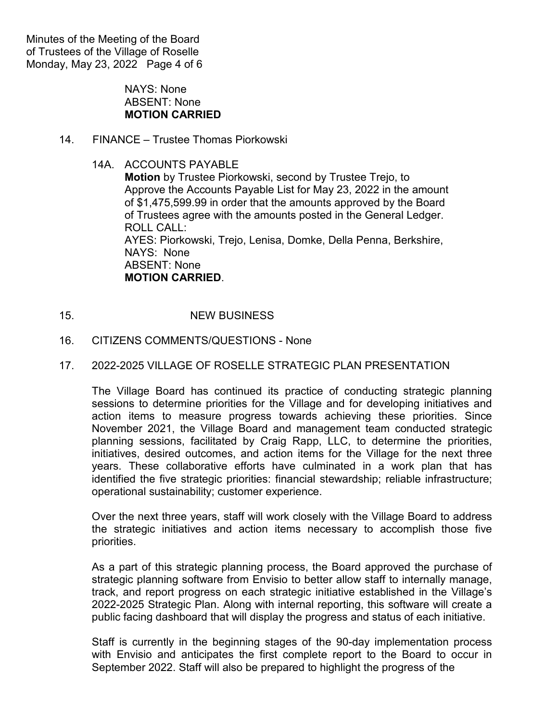Minutes of the Meeting of the Board of Trustees of the Village of Roselle Monday, May 23, 2022 Page 4 of 6

### NAYS: None ABSENT: None **MOTION CARRIED**

14. FINANCE – Trustee Thomas Piorkowski

14A. ACCOUNTS PAYABLE **Motion** by Trustee Piorkowski, second by Trustee Trejo, to Approve the Accounts Payable List for May 23, 2022 in the amount of \$1,475,599.99 in order that the amounts approved by the Board of Trustees agree with the amounts posted in the General Ledger. ROLL CALL: AYES: Piorkowski, Trejo, Lenisa, Domke, Della Penna, Berkshire, NAYS: None ABSENT: None **MOTION CARRIED**.

- 15. NEW BUSINESS
- 16. CITIZENS COMMENTS/QUESTIONS None
- 17. 2022-2025 VILLAGE OF ROSELLE STRATEGIC PLAN PRESENTATION

The Village Board has continued its practice of conducting strategic planning sessions to determine priorities for the Village and for developing initiatives and action items to measure progress towards achieving these priorities. Since November 2021, the Village Board and management team conducted strategic planning sessions, facilitated by Craig Rapp, LLC, to determine the priorities, initiatives, desired outcomes, and action items for the Village for the next three years. These collaborative efforts have culminated in a work plan that has identified the five strategic priorities: financial stewardship; reliable infrastructure; operational sustainability; customer experience.

Over the next three years, staff will work closely with the Village Board to address the strategic initiatives and action items necessary to accomplish those five priorities.

As a part of this strategic planning process, the Board approved the purchase of strategic planning software from Envisio to better allow staff to internally manage, track, and report progress on each strategic initiative established in the Village's 2022-2025 Strategic Plan. Along with internal reporting, this software will create a public facing dashboard that will display the progress and status of each initiative.

Staff is currently in the beginning stages of the 90-day implementation process with Envisio and anticipates the first complete report to the Board to occur in September 2022. Staff will also be prepared to highlight the progress of the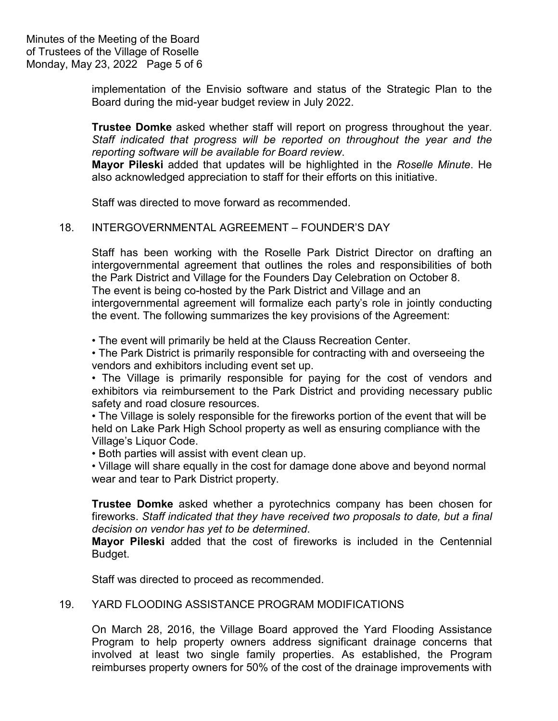implementation of the Envisio software and status of the Strategic Plan to the Board during the mid-year budget review in July 2022.

**Trustee Domke** asked whether staff will report on progress throughout the year. *Staff indicated that progress will be reported on throughout the year and the reporting software will be available for Board review*.

**Mayor Pileski** added that updates will be highlighted in the *Roselle Minute*. He also acknowledged appreciation to staff for their efforts on this initiative.

Staff was directed to move forward as recommended.

# 18. INTERGOVERNMENTAL AGREEMENT – FOUNDER'S DAY

Staff has been working with the Roselle Park District Director on drafting an intergovernmental agreement that outlines the roles and responsibilities of both the Park District and Village for the Founders Day Celebration on October 8. The event is being co-hosted by the Park District and Village and an intergovernmental agreement will formalize each party's role in jointly conducting the event. The following summarizes the key provisions of the Agreement:

• The event will primarily be held at the Clauss Recreation Center.

• The Park District is primarily responsible for contracting with and overseeing the vendors and exhibitors including event set up.

• The Village is primarily responsible for paying for the cost of vendors and exhibitors via reimbursement to the Park District and providing necessary public safety and road closure resources.

• The Village is solely responsible for the fireworks portion of the event that will be held on Lake Park High School property as well as ensuring compliance with the Village's Liquor Code.

• Both parties will assist with event clean up.

• Village will share equally in the cost for damage done above and beyond normal wear and tear to Park District property.

**Trustee Domke** asked whether a pyrotechnics company has been chosen for fireworks. *Staff indicated that they have received two proposals to date, but a final decision on vendor has yet to be determined*.

**Mayor Pileski** added that the cost of fireworks is included in the Centennial Budget.

Staff was directed to proceed as recommended.

#### 19. YARD FLOODING ASSISTANCE PROGRAM MODIFICATIONS

On March 28, 2016, the Village Board approved the Yard Flooding Assistance Program to help property owners address significant drainage concerns that involved at least two single family properties. As established, the Program reimburses property owners for 50% of the cost of the drainage improvements with